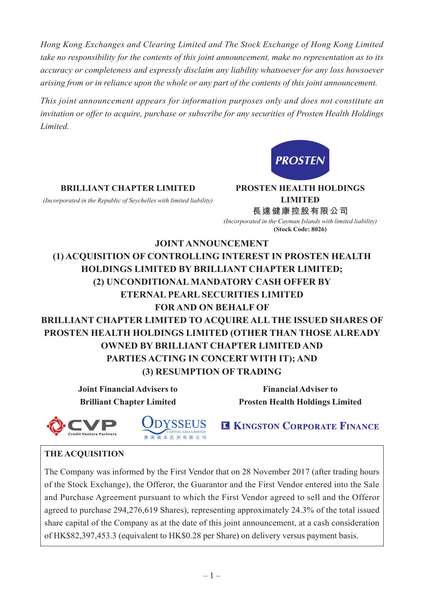*Hong Kong Exchanges and Clearing Limited and The Stock Exchange of Hong Kong Limited take no responsibility for the contents of this joint announcement, make no representation as to its accuracy or completeness and expressly disclaim any liability whatsoever for any loss howsoever arising from or in reliance upon the whole or any part of the contents of this joint announcement.*

*This joint announcement appears for information purposes only and does not constitute an invitation or offer to acquire, purchase or subscribe for any securities of Prosten Health Holdings Limited.*



#### **BRILLIANT CHAPTER LIMITED PROSTEN HEALTH HOLDINGS**

*(Incorporated in the Republic of Seychelles with limited liability)* **LIMITED**

**長達健康控股有限公司** *(Incorporated in the Cayman Islands with limited liability)* **(Stock Code: 8026)**

# **JOINT ANNOUNCEMENT (1) ACQUISITION OF CONTROLLING INTEREST IN PROSTEN HEALTH HOLDINGS LIMITED BY BRILLIANT CHAPTER LIMITED; (2) UNCONDITIONAL MANDATORY CASH OFFER BY ETERNAL PEARL SECURITIES LIMITED FOR AND ON BEHALF OF BRILLIANT CHAPTER LIMITED TO ACQUIRE ALL THE ISSUED SHARES OF PROSTEN HEALTH HOLDINGS LIMITED (OTHER THAN THOSE ALREADY OWNED BY BRILLIANT CHAPTER LIMITED AND PARTIES ACTING IN CONCERT WITH IT); AND (3) RESUMPTION OF TRADING**

**Joint Financial Advisers to Financial Adviser to**

**Brilliant Chapter Limited Prosten Health Holdings Limited**





**IC KINGSTON CORPORATE FINANCE** 

### **THE ACQUISITION**

The Company was informed by the First Vendor that on 28 November 2017 (after trading hours of the Stock Exchange), the Offeror, the Guarantor and the First Vendor entered into the Sale and Purchase Agreement pursuant to which the First Vendor agreed to sell and the Offeror agreed to purchase 294,276,619 Shares), representing approximately 24.3% of the total issued share capital of the Company as at the date of this joint announcement, at a cash consideration of HK\$82,397,453.3 (equivalent to HK\$0.28 per Share) on delivery versus payment basis.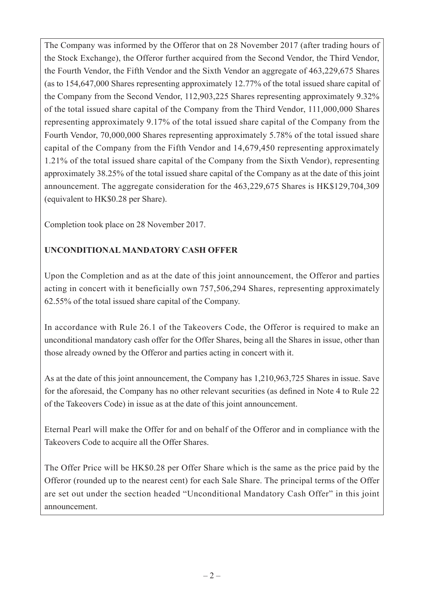The Company was informed by the Offeror that on 28 November 2017 (after trading hours of the Stock Exchange), the Offeror further acquired from the Second Vendor, the Third Vendor, the Fourth Vendor, the Fifth Vendor and the Sixth Vendor an aggregate of 463,229,675 Shares (as to 154,647,000 Shares representing approximately 12.77% of the total issued share capital of the Company from the Second Vendor, 112,903,225 Shares representing approximately 9.32% of the total issued share capital of the Company from the Third Vendor, 111,000,000 Shares representing approximately 9.17% of the total issued share capital of the Company from the Fourth Vendor, 70,000,000 Shares representing approximately 5.78% of the total issued share capital of the Company from the Fifth Vendor and 14,679,450 representing approximately 1.21% of the total issued share capital of the Company from the Sixth Vendor), representing approximately 38.25% of the total issued share capital of the Company as at the date of this joint announcement. The aggregate consideration for the 463,229,675 Shares is HK\$129,704,309 (equivalent to HK\$0.28 per Share).

Completion took place on 28 November 2017.

## **UNCONDITIONAL MANDATORY CASH OFFER**

Upon the Completion and as at the date of this joint announcement, the Offeror and parties acting in concert with it beneficially own 757,506,294 Shares, representing approximately 62.55% of the total issued share capital of the Company.

In accordance with Rule 26.1 of the Takeovers Code, the Offeror is required to make an unconditional mandatory cash offer for the Offer Shares, being all the Shares in issue, other than those already owned by the Offeror and parties acting in concert with it.

As at the date of this joint announcement, the Company has 1,210,963,725 Shares in issue. Save for the aforesaid, the Company has no other relevant securities (as defined in Note 4 to Rule 22 of the Takeovers Code) in issue as at the date of this joint announcement.

Eternal Pearl will make the Offer for and on behalf of the Offeror and in compliance with the Takeovers Code to acquire all the Offer Shares.

The Offer Price will be HK\$0.28 per Offer Share which is the same as the price paid by the Offeror (rounded up to the nearest cent) for each Sale Share. The principal terms of the Offer are set out under the section headed "Unconditional Mandatory Cash Offer" in this joint announcement.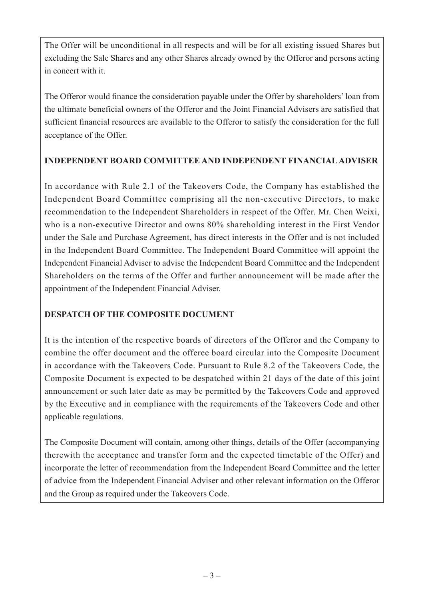The Offer will be unconditional in all respects and will be for all existing issued Shares but excluding the Sale Shares and any other Shares already owned by the Offeror and persons acting in concert with it.

The Offeror would finance the consideration payable under the Offer by shareholders' loan from the ultimate beneficial owners of the Offeror and the Joint Financial Advisers are satisfied that sufficient financial resources are available to the Offeror to satisfy the consideration for the full acceptance of the Offer.

### **INDEPENDENT BOARD COMMITTEE AND INDEPENDENT FINANCIAL ADVISER**

In accordance with Rule 2.1 of the Takeovers Code, the Company has established the Independent Board Committee comprising all the non-executive Directors, to make recommendation to the Independent Shareholders in respect of the Offer. Mr. Chen Weixi, who is a non-executive Director and owns 80% shareholding interest in the First Vendor under the Sale and Purchase Agreement, has direct interests in the Offer and is not included in the Independent Board Committee. The Independent Board Committee will appoint the Independent Financial Adviser to advise the Independent Board Committee and the Independent Shareholders on the terms of the Offer and further announcement will be made after the appointment of the Independent Financial Adviser.

### **DESPATCH OF THE COMPOSITE DOCUMENT**

It is the intention of the respective boards of directors of the Offeror and the Company to combine the offer document and the offeree board circular into the Composite Document in accordance with the Takeovers Code. Pursuant to Rule 8.2 of the Takeovers Code, the Composite Document is expected to be despatched within 21 days of the date of this joint announcement or such later date as may be permitted by the Takeovers Code and approved by the Executive and in compliance with the requirements of the Takeovers Code and other applicable regulations.

The Composite Document will contain, among other things, details of the Offer (accompanying therewith the acceptance and transfer form and the expected timetable of the Offer) and incorporate the letter of recommendation from the Independent Board Committee and the letter of advice from the Independent Financial Adviser and other relevant information on the Offeror and the Group as required under the Takeovers Code.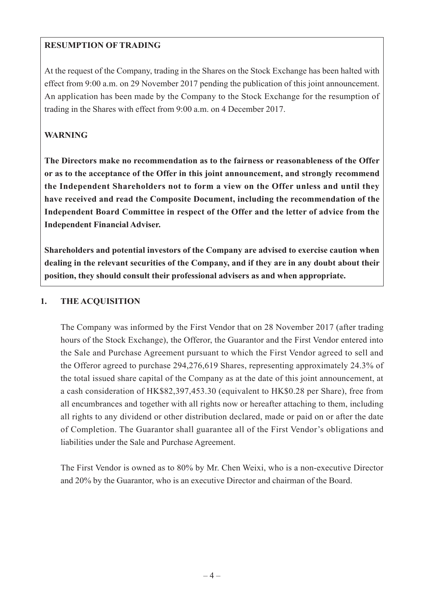### **RESUMPTION OF TRADING**

At the request of the Company, trading in the Shares on the Stock Exchange has been halted with effect from 9:00 a.m. on 29 November 2017 pending the publication of this joint announcement. An application has been made by the Company to the Stock Exchange for the resumption of trading in the Shares with effect from 9:00 a.m. on 4 December 2017.

### **WARNING**

**The Directors make no recommendation as to the fairness or reasonableness of the Offer or as to the acceptance of the Offer in this joint announcement, and strongly recommend the Independent Shareholders not to form a view on the Offer unless and until they have received and read the Composite Document, including the recommendation of the Independent Board Committee in respect of the Offer and the letter of advice from the Independent Financial Adviser.**

**Shareholders and potential investors of the Company are advised to exercise caution when dealing in the relevant securities of the Company, and if they are in any doubt about their position, they should consult their professional advisers as and when appropriate.**

### **1. THE ACQUISITION**

The Company was informed by the First Vendor that on 28 November 2017 (after trading hours of the Stock Exchange), the Offeror, the Guarantor and the First Vendor entered into the Sale and Purchase Agreement pursuant to which the First Vendor agreed to sell and the Offeror agreed to purchase 294,276,619 Shares, representing approximately 24.3% of the total issued share capital of the Company as at the date of this joint announcement, at a cash consideration of HK\$82,397,453.30 (equivalent to HK\$0.28 per Share), free from all encumbrances and together with all rights now or hereafter attaching to them, including all rights to any dividend or other distribution declared, made or paid on or after the date of Completion. The Guarantor shall guarantee all of the First Vendor's obligations and liabilities under the Sale and Purchase Agreement.

The First Vendor is owned as to 80% by Mr. Chen Weixi, who is a non-executive Director and 20% by the Guarantor, who is an executive Director and chairman of the Board.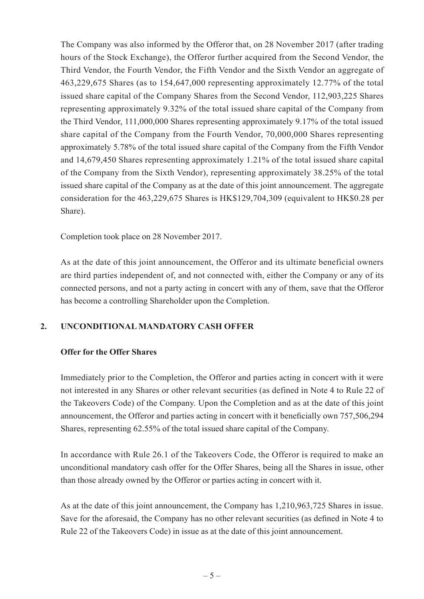The Company was also informed by the Offeror that, on 28 November 2017 (after trading hours of the Stock Exchange), the Offeror further acquired from the Second Vendor, the Third Vendor, the Fourth Vendor, the Fifth Vendor and the Sixth Vendor an aggregate of 463,229,675 Shares (as to 154,647,000 representing approximately 12.77% of the total issued share capital of the Company Shares from the Second Vendor, 112,903,225 Shares representing approximately 9.32% of the total issued share capital of the Company from the Third Vendor, 111,000,000 Shares representing approximately 9.17% of the total issued share capital of the Company from the Fourth Vendor, 70,000,000 Shares representing approximately 5.78% of the total issued share capital of the Company from the Fifth Vendor and 14,679,450 Shares representing approximately 1.21% of the total issued share capital of the Company from the Sixth Vendor), representing approximately 38.25% of the total issued share capital of the Company as at the date of this joint announcement. The aggregate consideration for the 463,229,675 Shares is HK\$129,704,309 (equivalent to HK\$0.28 per Share).

Completion took place on 28 November 2017.

As at the date of this joint announcement, the Offeror and its ultimate beneficial owners are third parties independent of, and not connected with, either the Company or any of its connected persons, and not a party acting in concert with any of them, save that the Offeror has become a controlling Shareholder upon the Completion.

### **2. UNCONDITIONAL MANDATORY CASH OFFER**

#### **Offer for the Offer Shares**

Immediately prior to the Completion, the Offeror and parties acting in concert with it were not interested in any Shares or other relevant securities (as defined in Note 4 to Rule 22 of the Takeovers Code) of the Company. Upon the Completion and as at the date of this joint announcement, the Offeror and parties acting in concert with it beneficially own 757,506,294 Shares, representing 62.55% of the total issued share capital of the Company.

In accordance with Rule 26.1 of the Takeovers Code, the Offeror is required to make an unconditional mandatory cash offer for the Offer Shares, being all the Shares in issue, other than those already owned by the Offeror or parties acting in concert with it.

As at the date of this joint announcement, the Company has 1,210,963,725 Shares in issue. Save for the aforesaid, the Company has no other relevant securities (as defined in Note 4 to Rule 22 of the Takeovers Code) in issue as at the date of this joint announcement.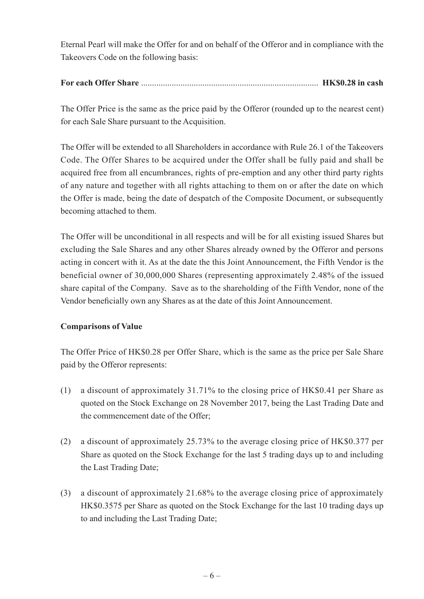Eternal Pearl will make the Offer for and on behalf of the Offeror and in compliance with the Takeovers Code on the following basis:

## **For each Offer Share** ................................................................................. **HK\$0.28 in cash**

The Offer Price is the same as the price paid by the Offeror (rounded up to the nearest cent) for each Sale Share pursuant to the Acquisition.

The Offer will be extended to all Shareholders in accordance with Rule 26.1 of the Takeovers Code. The Offer Shares to be acquired under the Offer shall be fully paid and shall be acquired free from all encumbrances, rights of pre-emption and any other third party rights of any nature and together with all rights attaching to them on or after the date on which the Offer is made, being the date of despatch of the Composite Document, or subsequently becoming attached to them.

The Offer will be unconditional in all respects and will be for all existing issued Shares but excluding the Sale Shares and any other Shares already owned by the Offeror and persons acting in concert with it. As at the date the this Joint Announcement, the Fifth Vendor is the beneficial owner of 30,000,000 Shares (representing approximately 2.48% of the issued share capital of the Company. Save as to the shareholding of the Fifth Vendor, none of the Vendor beneficially own any Shares as at the date of this Joint Announcement.

### **Comparisons of Value**

The Offer Price of HK\$0.28 per Offer Share, which is the same as the price per Sale Share paid by the Offeror represents:

- (1) a discount of approximately 31.71% to the closing price of HK\$0.41 per Share as quoted on the Stock Exchange on 28 November 2017, being the Last Trading Date and the commencement date of the Offer;
- (2) a discount of approximately 25.73% to the average closing price of HK\$0.377 per Share as quoted on the Stock Exchange for the last 5 trading days up to and including the Last Trading Date;
- (3) a discount of approximately 21.68% to the average closing price of approximately HK\$0.3575 per Share as quoted on the Stock Exchange for the last 10 trading days up to and including the Last Trading Date;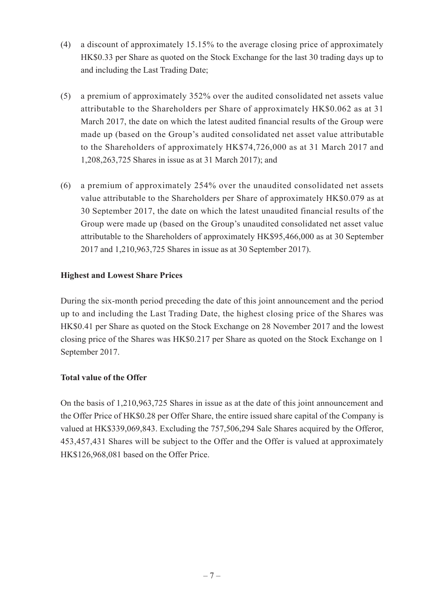- (4) a discount of approximately 15.15% to the average closing price of approximately HK\$0.33 per Share as quoted on the Stock Exchange for the last 30 trading days up to and including the Last Trading Date;
- (5) a premium of approximately 352% over the audited consolidated net assets value attributable to the Shareholders per Share of approximately HK\$0.062 as at 31 March 2017, the date on which the latest audited financial results of the Group were made up (based on the Group's audited consolidated net asset value attributable to the Shareholders of approximately HK\$74,726,000 as at 31 March 2017 and 1,208,263,725 Shares in issue as at 31 March 2017); and
- (6) a premium of approximately 254% over the unaudited consolidated net assets value attributable to the Shareholders per Share of approximately HK\$0.079 as at 30 September 2017, the date on which the latest unaudited financial results of the Group were made up (based on the Group's unaudited consolidated net asset value attributable to the Shareholders of approximately HK\$95,466,000 as at 30 September 2017 and 1,210,963,725 Shares in issue as at 30 September 2017).

### **Highest and Lowest Share Prices**

During the six-month period preceding the date of this joint announcement and the period up to and including the Last Trading Date, the highest closing price of the Shares was HK\$0.41 per Share as quoted on the Stock Exchange on 28 November 2017 and the lowest closing price of the Shares was HK\$0.217 per Share as quoted on the Stock Exchange on 1 September 2017.

### **Total value of the Offer**

On the basis of 1,210,963,725 Shares in issue as at the date of this joint announcement and the Offer Price of HK\$0.28 per Offer Share, the entire issued share capital of the Company is valued at HK\$339,069,843. Excluding the 757,506,294 Sale Shares acquired by the Offeror, 453,457,431 Shares will be subject to the Offer and the Offer is valued at approximately HK\$126,968,081 based on the Offer Price.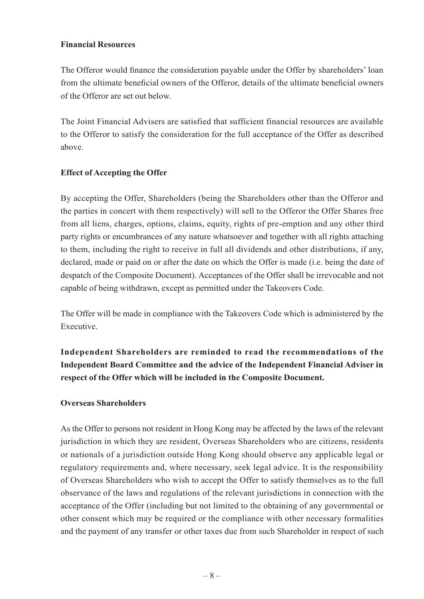#### **Financial Resources**

The Offeror would finance the consideration payable under the Offer by shareholders' loan from the ultimate beneficial owners of the Offeror, details of the ultimate beneficial owners of the Offeror are set out below.

The Joint Financial Advisers are satisfied that sufficient financial resources are available to the Offeror to satisfy the consideration for the full acceptance of the Offer as described above.

### **Effect of Accepting the Offer**

By accepting the Offer, Shareholders (being the Shareholders other than the Offeror and the parties in concert with them respectively) will sell to the Offeror the Offer Shares free from all liens, charges, options, claims, equity, rights of pre-emption and any other third party rights or encumbrances of any nature whatsoever and together with all rights attaching to them, including the right to receive in full all dividends and other distributions, if any, declared, made or paid on or after the date on which the Offer is made (i.e. being the date of despatch of the Composite Document). Acceptances of the Offer shall be irrevocable and not capable of being withdrawn, except as permitted under the Takeovers Code.

The Offer will be made in compliance with the Takeovers Code which is administered by the Executive.

**Independent Shareholders are reminded to read the recommendations of the Independent Board Committee and the advice of the Independent Financial Adviser in respect of the Offer which will be included in the Composite Document.**

#### **Overseas Shareholders**

As the Offer to persons not resident in Hong Kong may be affected by the laws of the relevant jurisdiction in which they are resident, Overseas Shareholders who are citizens, residents or nationals of a jurisdiction outside Hong Kong should observe any applicable legal or regulatory requirements and, where necessary, seek legal advice. It is the responsibility of Overseas Shareholders who wish to accept the Offer to satisfy themselves as to the full observance of the laws and regulations of the relevant jurisdictions in connection with the acceptance of the Offer (including but not limited to the obtaining of any governmental or other consent which may be required or the compliance with other necessary formalities and the payment of any transfer or other taxes due from such Shareholder in respect of such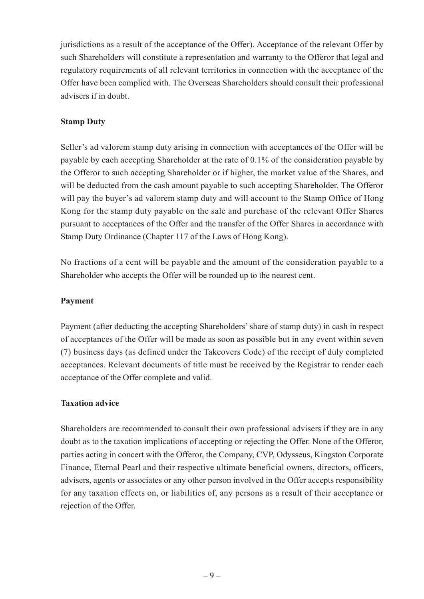jurisdictions as a result of the acceptance of the Offer). Acceptance of the relevant Offer by such Shareholders will constitute a representation and warranty to the Offeror that legal and regulatory requirements of all relevant territories in connection with the acceptance of the Offer have been complied with. The Overseas Shareholders should consult their professional advisers if in doubt.

### **Stamp Duty**

Seller's ad valorem stamp duty arising in connection with acceptances of the Offer will be payable by each accepting Shareholder at the rate of 0.1% of the consideration payable by the Offeror to such accepting Shareholder or if higher, the market value of the Shares, and will be deducted from the cash amount payable to such accepting Shareholder. The Offeror will pay the buyer's ad valorem stamp duty and will account to the Stamp Office of Hong Kong for the stamp duty payable on the sale and purchase of the relevant Offer Shares pursuant to acceptances of the Offer and the transfer of the Offer Shares in accordance with Stamp Duty Ordinance (Chapter 117 of the Laws of Hong Kong).

No fractions of a cent will be payable and the amount of the consideration payable to a Shareholder who accepts the Offer will be rounded up to the nearest cent.

### **Payment**

Payment (after deducting the accepting Shareholders' share of stamp duty) in cash in respect of acceptances of the Offer will be made as soon as possible but in any event within seven (7) business days (as defined under the Takeovers Code) of the receipt of duly completed acceptances. Relevant documents of title must be received by the Registrar to render each acceptance of the Offer complete and valid.

### **Taxation advice**

Shareholders are recommended to consult their own professional advisers if they are in any doubt as to the taxation implications of accepting or rejecting the Offer. None of the Offeror, parties acting in concert with the Offeror, the Company, CVP, Odysseus, Kingston Corporate Finance, Eternal Pearl and their respective ultimate beneficial owners, directors, officers, advisers, agents or associates or any other person involved in the Offer accepts responsibility for any taxation effects on, or liabilities of, any persons as a result of their acceptance or rejection of the Offer.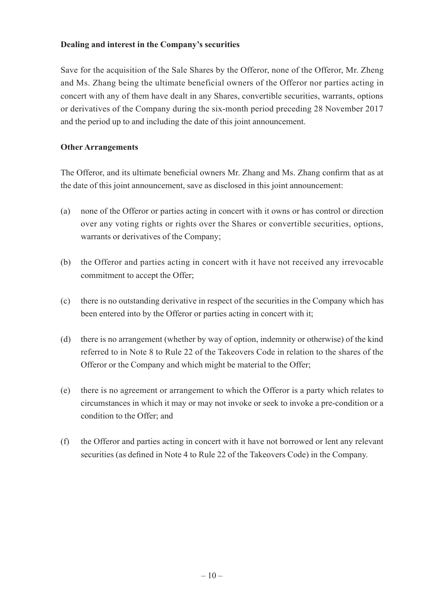#### **Dealing and interest in the Company's securities**

Save for the acquisition of the Sale Shares by the Offeror, none of the Offeror, Mr. Zheng and Ms. Zhang being the ultimate beneficial owners of the Offeror nor parties acting in concert with any of them have dealt in any Shares, convertible securities, warrants, options or derivatives of the Company during the six-month period preceding 28 November 2017 and the period up to and including the date of this joint announcement.

#### **Other Arrangements**

The Offeror, and its ultimate beneficial owners Mr. Zhang and Ms. Zhang confirm that as at the date of this joint announcement, save as disclosed in this joint announcement:

- (a) none of the Offeror or parties acting in concert with it owns or has control or direction over any voting rights or rights over the Shares or convertible securities, options, warrants or derivatives of the Company;
- (b) the Offeror and parties acting in concert with it have not received any irrevocable commitment to accept the Offer;
- (c) there is no outstanding derivative in respect of the securities in the Company which has been entered into by the Offeror or parties acting in concert with it;
- (d) there is no arrangement (whether by way of option, indemnity or otherwise) of the kind referred to in Note 8 to Rule 22 of the Takeovers Code in relation to the shares of the Offeror or the Company and which might be material to the Offer;
- (e) there is no agreement or arrangement to which the Offeror is a party which relates to circumstances in which it may or may not invoke or seek to invoke a pre-condition or a condition to the Offer; and
- (f) the Offeror and parties acting in concert with it have not borrowed or lent any relevant securities (as defined in Note 4 to Rule 22 of the Takeovers Code) in the Company.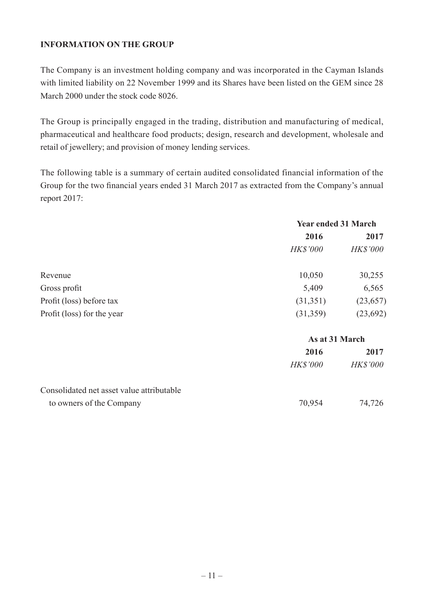### **INFORMATION ON THE GROUP**

The Company is an investment holding company and was incorporated in the Cayman Islands with limited liability on 22 November 1999 and its Shares have been listed on the GEM since 28 March 2000 under the stock code 8026.

The Group is principally engaged in the trading, distribution and manufacturing of medical, pharmaceutical and healthcare food products; design, research and development, wholesale and retail of jewellery; and provision of money lending services.

The following table is a summary of certain audited consolidated financial information of the Group for the two financial years ended 31 March 2017 as extracted from the Company's annual report 2017:

|                                           | <b>Year ended 31 March</b> |                 |
|-------------------------------------------|----------------------------|-----------------|
|                                           | 2016                       | 2017            |
|                                           | <b>HK\$'000</b>            | <b>HK\$'000</b> |
| Revenue                                   | 10,050                     | 30,255          |
| Gross profit                              | 5,409                      | 6,565           |
| Profit (loss) before tax                  | (31,351)                   | (23, 657)       |
| Profit (loss) for the year                | (31,359)                   | (23, 692)       |
|                                           |                            | As at 31 March  |
|                                           | 2016                       | 2017            |
|                                           | <b>HK\$'000</b>            | <b>HK\$'000</b> |
| Consolidated net asset value attributable |                            |                 |
| to owners of the Company                  | 70,954                     | 74,726          |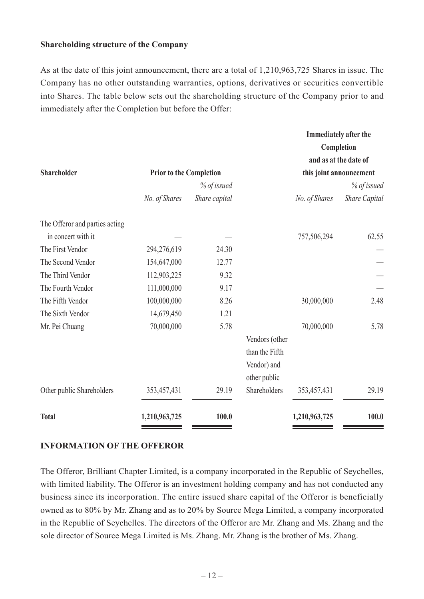#### **Shareholding structure of the Company**

As at the date of this joint announcement, there are a total of 1,210,963,725 Shares in issue. The Company has no other outstanding warranties, options, derivatives or securities convertible into Shares. The table below sets out the shareholding structure of the Company prior to and immediately after the Completion but before the Offer:

|                                |                                |               |                |               | <b>Immediately after the</b> |
|--------------------------------|--------------------------------|---------------|----------------|---------------|------------------------------|
|                                |                                |               |                |               | Completion                   |
|                                |                                |               |                |               | and as at the date of        |
| Shareholder                    | <b>Prior to the Completion</b> |               |                |               | this joint announcement      |
|                                |                                | % of issued   |                |               | % of issued                  |
|                                | No. of Shares                  | Share capital |                | No. of Shares | <b>Share Capital</b>         |
| The Offeror and parties acting |                                |               |                |               |                              |
| in concert with it             |                                |               |                | 757,506,294   | 62.55                        |
| The First Vendor               | 294,276,619                    | 24.30         |                |               |                              |
| The Second Vendor              | 154,647,000                    | 12.77         |                |               |                              |
| The Third Vendor               | 112,903,225                    | 9.32          |                |               |                              |
| The Fourth Vendor              | 111,000,000                    | 9.17          |                |               |                              |
| The Fifth Vendor               | 100,000,000                    | 8.26          |                | 30,000,000    | 2.48                         |
| The Sixth Vendor               | 14,679,450                     | 1.21          |                |               |                              |
| Mr. Pei Chuang                 | 70,000,000                     | 5.78          |                | 70,000,000    | 5.78                         |
|                                |                                |               | Vendors (other |               |                              |
|                                |                                |               | than the Fifth |               |                              |
|                                |                                |               | Vendor) and    |               |                              |
|                                |                                |               | other public   |               |                              |
| Other public Shareholders      | 353,457,431                    | 29.19         | Shareholders   | 353,457,431   | 29.19                        |
| <b>Total</b>                   | 1,210,963,725                  | 100.0         |                | 1,210,963,725 | 100.0                        |

#### **INFORMATION OF THE OFFEROR**

The Offeror, Brilliant Chapter Limited, is a company incorporated in the Republic of Seychelles, with limited liability. The Offeror is an investment holding company and has not conducted any business since its incorporation. The entire issued share capital of the Offeror is beneficially owned as to 80% by Mr. Zhang and as to 20% by Source Mega Limited, a company incorporated in the Republic of Seychelles. The directors of the Offeror are Mr. Zhang and Ms. Zhang and the sole director of Source Mega Limited is Ms. Zhang. Mr. Zhang is the brother of Ms. Zhang.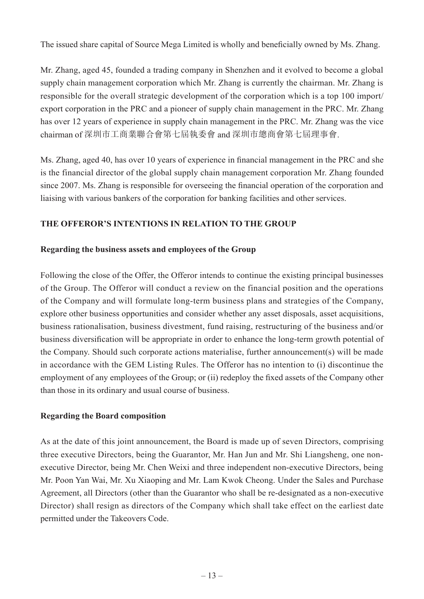The issued share capital of Source Mega Limited is wholly and beneficially owned by Ms. Zhang.

Mr. Zhang, aged 45, founded a trading company in Shenzhen and it evolved to become a global supply chain management corporation which Mr. Zhang is currently the chairman. Mr. Zhang is responsible for the overall strategic development of the corporation which is a top 100 import/ export corporation in the PRC and a pioneer of supply chain management in the PRC. Mr. Zhang has over 12 years of experience in supply chain management in the PRC. Mr. Zhang was the vice chairman of 深圳市工商業聯合會第七屆執委會 and 深圳市總商會第七屆理事會.

Ms. Zhang, aged 40, has over 10 years of experience in financial management in the PRC and she is the financial director of the global supply chain management corporation Mr. Zhang founded since 2007. Ms. Zhang is responsible for overseeing the financial operation of the corporation and liaising with various bankers of the corporation for banking facilities and other services.

## **THE OFFEROR'S INTENTIONS IN RELATION TO THE GROUP**

### **Regarding the business assets and employees of the Group**

Following the close of the Offer, the Offeror intends to continue the existing principal businesses of the Group. The Offeror will conduct a review on the financial position and the operations of the Company and will formulate long-term business plans and strategies of the Company, explore other business opportunities and consider whether any asset disposals, asset acquisitions, business rationalisation, business divestment, fund raising, restructuring of the business and/or business diversification will be appropriate in order to enhance the long-term growth potential of the Company. Should such corporate actions materialise, further announcement(s) will be made in accordance with the GEM Listing Rules. The Offeror has no intention to (i) discontinue the employment of any employees of the Group; or (ii) redeploy the fixed assets of the Company other than those in its ordinary and usual course of business.

### **Regarding the Board composition**

As at the date of this joint announcement, the Board is made up of seven Directors, comprising three executive Directors, being the Guarantor, Mr. Han Jun and Mr. Shi Liangsheng, one nonexecutive Director, being Mr. Chen Weixi and three independent non-executive Directors, being Mr. Poon Yan Wai, Mr. Xu Xiaoping and Mr. Lam Kwok Cheong. Under the Sales and Purchase Agreement, all Directors (other than the Guarantor who shall be re-designated as a non-executive Director) shall resign as directors of the Company which shall take effect on the earliest date permitted under the Takeovers Code.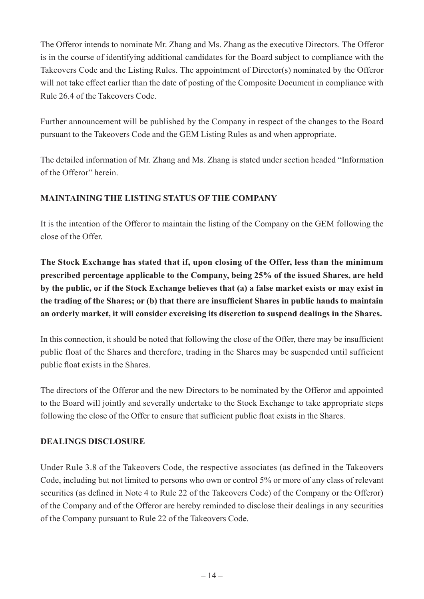The Offeror intends to nominate Mr. Zhang and Ms. Zhang as the executive Directors. The Offeror is in the course of identifying additional candidates for the Board subject to compliance with the Takeovers Code and the Listing Rules. The appointment of Director(s) nominated by the Offeror will not take effect earlier than the date of posting of the Composite Document in compliance with Rule 26.4 of the Takeovers Code.

Further announcement will be published by the Company in respect of the changes to the Board pursuant to the Takeovers Code and the GEM Listing Rules as and when appropriate.

The detailed information of Mr. Zhang and Ms. Zhang is stated under section headed "Information of the Offeror" herein.

## **MAINTAINING THE LISTING STATUS OF THE COMPANY**

It is the intention of the Offeror to maintain the listing of the Company on the GEM following the close of the Offer.

**The Stock Exchange has stated that if, upon closing of the Offer, less than the minimum prescribed percentage applicable to the Company, being 25% of the issued Shares, are held by the public, or if the Stock Exchange believes that (a) a false market exists or may exist in the trading of the Shares; or (b) that there are insufficient Shares in public hands to maintain an orderly market, it will consider exercising its discretion to suspend dealings in the Shares.**

In this connection, it should be noted that following the close of the Offer, there may be insufficient public float of the Shares and therefore, trading in the Shares may be suspended until sufficient public float exists in the Shares.

The directors of the Offeror and the new Directors to be nominated by the Offeror and appointed to the Board will jointly and severally undertake to the Stock Exchange to take appropriate steps following the close of the Offer to ensure that sufficient public float exists in the Shares.

### **DEALINGS DISCLOSURE**

Under Rule 3.8 of the Takeovers Code, the respective associates (as defined in the Takeovers Code, including but not limited to persons who own or control 5% or more of any class of relevant securities (as defined in Note 4 to Rule 22 of the Takeovers Code) of the Company or the Offeror) of the Company and of the Offeror are hereby reminded to disclose their dealings in any securities of the Company pursuant to Rule 22 of the Takeovers Code.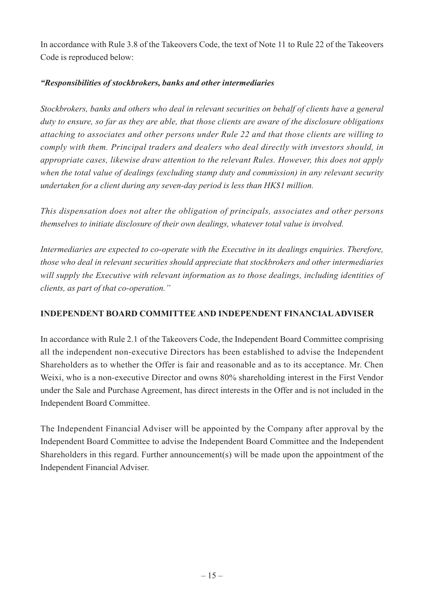In accordance with Rule 3.8 of the Takeovers Code, the text of Note 11 to Rule 22 of the Takeovers Code is reproduced below:

### *"Responsibilities of stockbrokers, banks and other intermediaries*

*Stockbrokers, banks and others who deal in relevant securities on behalf of clients have a general duty to ensure, so far as they are able, that those clients are aware of the disclosure obligations attaching to associates and other persons under Rule 22 and that those clients are willing to comply with them. Principal traders and dealers who deal directly with investors should, in appropriate cases, likewise draw attention to the relevant Rules. However, this does not apply when the total value of dealings (excluding stamp duty and commission) in any relevant security undertaken for a client during any seven-day period is less than HK\$1 million.*

*This dispensation does not alter the obligation of principals, associates and other persons themselves to initiate disclosure of their own dealings, whatever total value is involved.*

*Intermediaries are expected to co-operate with the Executive in its dealings enquiries. Therefore, those who deal in relevant securities should appreciate that stockbrokers and other intermediaries will supply the Executive with relevant information as to those dealings, including identities of clients, as part of that co-operation."*

### **INDEPENDENT BOARD COMMITTEE AND INDEPENDENT FINANCIAL ADVISER**

In accordance with Rule 2.1 of the Takeovers Code, the Independent Board Committee comprising all the independent non-executive Directors has been established to advise the Independent Shareholders as to whether the Offer is fair and reasonable and as to its acceptance. Mr. Chen Weixi, who is a non-executive Director and owns 80% shareholding interest in the First Vendor under the Sale and Purchase Agreement, has direct interests in the Offer and is not included in the Independent Board Committee.

The Independent Financial Adviser will be appointed by the Company after approval by the Independent Board Committee to advise the Independent Board Committee and the Independent Shareholders in this regard. Further announcement(s) will be made upon the appointment of the Independent Financial Adviser.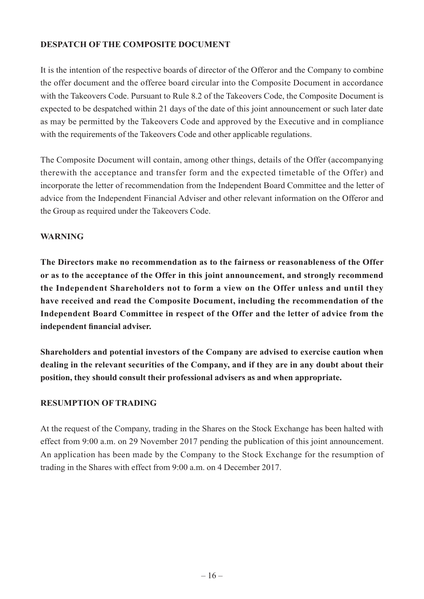### **DESPATCH OF THE COMPOSITE DOCUMENT**

It is the intention of the respective boards of director of the Offeror and the Company to combine the offer document and the offeree board circular into the Composite Document in accordance with the Takeovers Code. Pursuant to Rule 8.2 of the Takeovers Code, the Composite Document is expected to be despatched within 21 days of the date of this joint announcement or such later date as may be permitted by the Takeovers Code and approved by the Executive and in compliance with the requirements of the Takeovers Code and other applicable regulations.

The Composite Document will contain, among other things, details of the Offer (accompanying therewith the acceptance and transfer form and the expected timetable of the Offer) and incorporate the letter of recommendation from the Independent Board Committee and the letter of advice from the Independent Financial Adviser and other relevant information on the Offeror and the Group as required under the Takeovers Code.

### **WARNING**

**The Directors make no recommendation as to the fairness or reasonableness of the Offer or as to the acceptance of the Offer in this joint announcement, and strongly recommend the Independent Shareholders not to form a view on the Offer unless and until they have received and read the Composite Document, including the recommendation of the Independent Board Committee in respect of the Offer and the letter of advice from the independent financial adviser.**

**Shareholders and potential investors of the Company are advised to exercise caution when dealing in the relevant securities of the Company, and if they are in any doubt about their position, they should consult their professional advisers as and when appropriate.**

### **RESUMPTION OF TRADING**

At the request of the Company, trading in the Shares on the Stock Exchange has been halted with effect from 9:00 a.m. on 29 November 2017 pending the publication of this joint announcement. An application has been made by the Company to the Stock Exchange for the resumption of trading in the Shares with effect from 9:00 a.m. on 4 December 2017.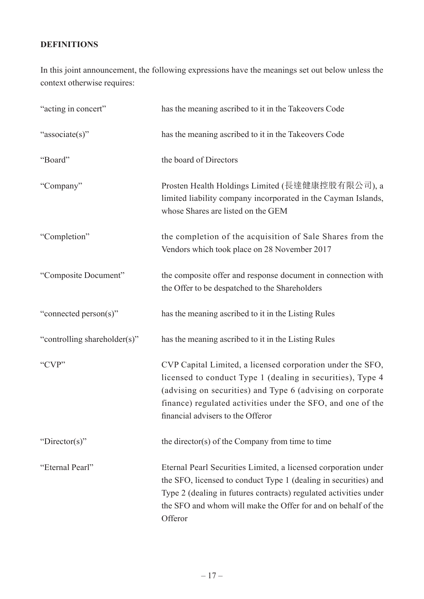## **DEFINITIONS**

In this joint announcement, the following expressions have the meanings set out below unless the context otherwise requires:

| "acting in concert"          | has the meaning ascribed to it in the Takeovers Code                                                                                                                                                                                                                                       |
|------------------------------|--------------------------------------------------------------------------------------------------------------------------------------------------------------------------------------------------------------------------------------------------------------------------------------------|
| "associate(s)"               | has the meaning ascribed to it in the Takeovers Code                                                                                                                                                                                                                                       |
| "Board"                      | the board of Directors                                                                                                                                                                                                                                                                     |
| "Company"                    | Prosten Health Holdings Limited (長達健康控股有限公司), a<br>limited liability company incorporated in the Cayman Islands,<br>whose Shares are listed on the GEM                                                                                                                                     |
| "Completion"                 | the completion of the acquisition of Sale Shares from the<br>Vendors which took place on 28 November 2017                                                                                                                                                                                  |
| "Composite Document"         | the composite offer and response document in connection with<br>the Offer to be despatched to the Shareholders                                                                                                                                                                             |
| "connected person(s)"        | has the meaning ascribed to it in the Listing Rules                                                                                                                                                                                                                                        |
| "controlling shareholder(s)" | has the meaning ascribed to it in the Listing Rules                                                                                                                                                                                                                                        |
| "CVP"                        | CVP Capital Limited, a licensed corporation under the SFO,<br>licensed to conduct Type 1 (dealing in securities), Type 4<br>(advising on securities) and Type 6 (advising on corporate<br>finance) regulated activities under the SFO, and one of the<br>financial advisers to the Offeror |
| "Director(s)"                | the director(s) of the Company from time to time                                                                                                                                                                                                                                           |
| "Eternal Pearl"              | Eternal Pearl Securities Limited, a licensed corporation under<br>the SFO, licensed to conduct Type 1 (dealing in securities) and<br>Type 2 (dealing in futures contracts) regulated activities under<br>the SFO and whom will make the Offer for and on behalf of the<br>Offeror          |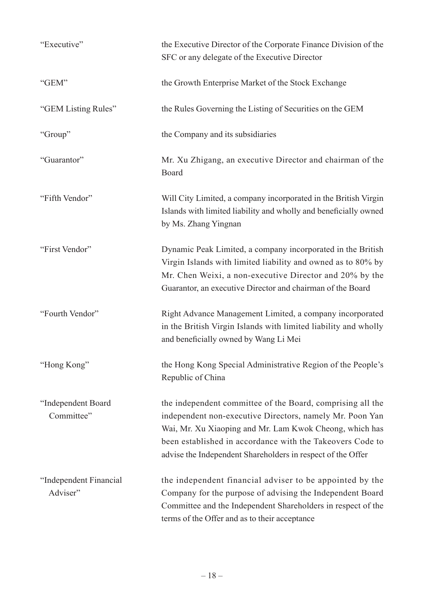| "Executive"                        | the Executive Director of the Corporate Finance Division of the<br>SFC or any delegate of the Executive Director                                                                                                                                                                                              |
|------------------------------------|---------------------------------------------------------------------------------------------------------------------------------------------------------------------------------------------------------------------------------------------------------------------------------------------------------------|
| "GEM"                              | the Growth Enterprise Market of the Stock Exchange                                                                                                                                                                                                                                                            |
| "GEM Listing Rules"                | the Rules Governing the Listing of Securities on the GEM                                                                                                                                                                                                                                                      |
| "Group"                            | the Company and its subsidiaries                                                                                                                                                                                                                                                                              |
| "Guarantor"                        | Mr. Xu Zhigang, an executive Director and chairman of the<br>Board                                                                                                                                                                                                                                            |
| "Fifth Vendor"                     | Will City Limited, a company incorporated in the British Virgin<br>Islands with limited liability and wholly and beneficially owned<br>by Ms. Zhang Yingnan                                                                                                                                                   |
| "First Vendor"                     | Dynamic Peak Limited, a company incorporated in the British<br>Virgin Islands with limited liability and owned as to 80% by<br>Mr. Chen Weixi, a non-executive Director and 20% by the<br>Guarantor, an executive Director and chairman of the Board                                                          |
| "Fourth Vendor"                    | Right Advance Management Limited, a company incorporated<br>in the British Virgin Islands with limited liability and wholly<br>and beneficially owned by Wang Li Mei                                                                                                                                          |
| "Hong Kong"                        | the Hong Kong Special Administrative Region of the People's<br>Republic of China                                                                                                                                                                                                                              |
| "Independent Board<br>Committee"   | the independent committee of the Board, comprising all the<br>independent non-executive Directors, namely Mr. Poon Yan<br>Wai, Mr. Xu Xiaoping and Mr. Lam Kwok Cheong, which has<br>been established in accordance with the Takeovers Code to<br>advise the Independent Shareholders in respect of the Offer |
| "Independent Financial<br>Adviser" | the independent financial adviser to be appointed by the<br>Company for the purpose of advising the Independent Board<br>Committee and the Independent Shareholders in respect of the<br>terms of the Offer and as to their acceptance                                                                        |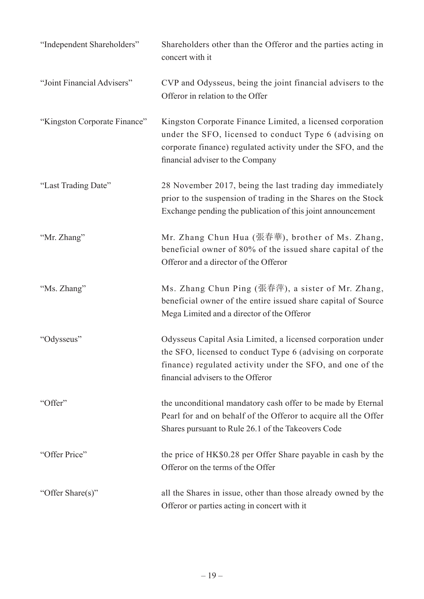| "Independent Shareholders"   | Shareholders other than the Offeror and the parties acting in<br>concert with it                                                                                                                                            |
|------------------------------|-----------------------------------------------------------------------------------------------------------------------------------------------------------------------------------------------------------------------------|
| "Joint Financial Advisers"   | CVP and Odysseus, being the joint financial advisers to the<br>Offeror in relation to the Offer                                                                                                                             |
| "Kingston Corporate Finance" | Kingston Corporate Finance Limited, a licensed corporation<br>under the SFO, licensed to conduct Type 6 (advising on<br>corporate finance) regulated activity under the SFO, and the<br>financial adviser to the Company    |
| "Last Trading Date"          | 28 November 2017, being the last trading day immediately<br>prior to the suspension of trading in the Shares on the Stock<br>Exchange pending the publication of this joint announcement                                    |
| "Mr. Zhang"                  | Mr. Zhang Chun Hua (張春華), brother of Ms. Zhang,<br>beneficial owner of 80% of the issued share capital of the<br>Offeror and a director of the Offeror                                                                      |
| "Ms. Zhang"                  | Ms. Zhang Chun Ping (張春萍), a sister of Mr. Zhang,<br>beneficial owner of the entire issued share capital of Source<br>Mega Limited and a director of the Offeror                                                            |
| "Odysseus"                   | Odysseus Capital Asia Limited, a licensed corporation under<br>the SFO, licensed to conduct Type 6 (advising on corporate<br>finance) regulated activity under the SFO, and one of the<br>financial advisers to the Offeror |
| "Offer"                      | the unconditional mandatory cash offer to be made by Eternal<br>Pearl for and on behalf of the Offeror to acquire all the Offer<br>Shares pursuant to Rule 26.1 of the Takeovers Code                                       |
| "Offer Price"                | the price of HK\$0.28 per Offer Share payable in cash by the<br>Offeror on the terms of the Offer                                                                                                                           |
| "Offer Share(s)"             | all the Shares in issue, other than those already owned by the<br>Offeror or parties acting in concert with it                                                                                                              |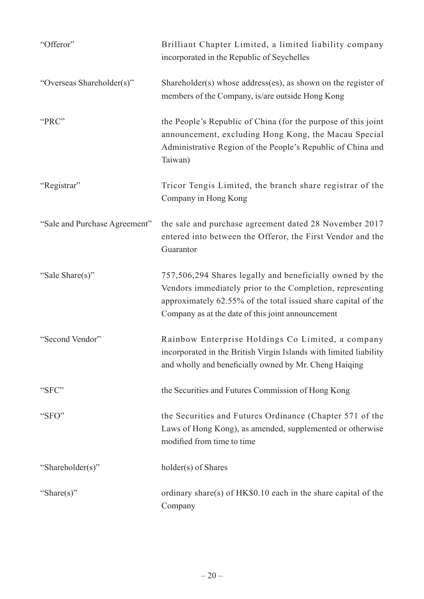| "Offeror"                     | Brilliant Chapter Limited, a limited liability company<br>incorporated in the Republic of Seychelles                                                                                                                                        |
|-------------------------------|---------------------------------------------------------------------------------------------------------------------------------------------------------------------------------------------------------------------------------------------|
| "Overseas Shareholder(s)"     | Shareholder(s) whose address(es), as shown on the register of<br>members of the Company, is/are outside Hong Kong                                                                                                                           |
| "PRC"                         | the People's Republic of China (for the purpose of this joint<br>announcement, excluding Hong Kong, the Macau Special<br>Administrative Region of the People's Republic of China and<br>Taiwan)                                             |
| "Registrar"                   | Tricor Tengis Limited, the branch share registrar of the<br>Company in Hong Kong                                                                                                                                                            |
| "Sale and Purchase Agreement" | the sale and purchase agreement dated 28 November 2017<br>entered into between the Offeror, the First Vendor and the<br>Guarantor                                                                                                           |
| "Sale Share(s)"               | 757,506,294 Shares legally and beneficially owned by the<br>Vendors immediately prior to the Completion, representing<br>approximately 62.55% of the total issued share capital of the<br>Company as at the date of this joint announcement |
| "Second Vendor"               | Rainbow Enterprise Holdings Co Limited, a company<br>incorporated in the British Virgin Islands with limited liability<br>and wholly and beneficially owned by Mr. Cheng Haiqing                                                            |
| "SFC"                         | the Securities and Futures Commission of Hong Kong                                                                                                                                                                                          |
| "SFO"                         | the Securities and Futures Ordinance (Chapter 571 of the<br>Laws of Hong Kong), as amended, supplemented or otherwise<br>modified from time to time                                                                                         |
| "Shareholder(s)"              | holder(s) of Shares                                                                                                                                                                                                                         |
| "Share(s)"                    | ordinary share(s) of HK\$0.10 each in the share capital of the<br>Company                                                                                                                                                                   |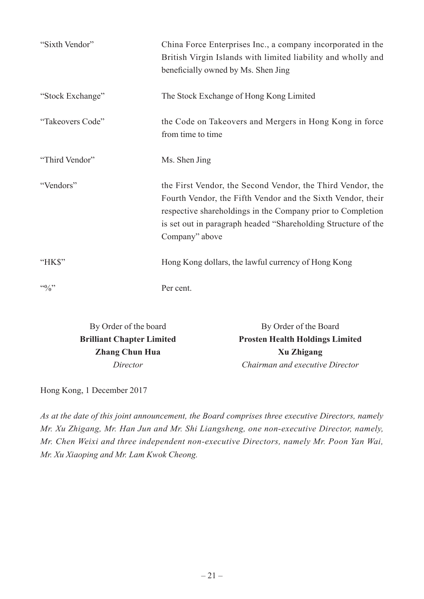| "Sixth Vendor"   | China Force Enterprises Inc., a company incorporated in the<br>British Virgin Islands with limited liability and wholly and<br>beneficially owned by Ms. Shen Jing                                                                                                          |
|------------------|-----------------------------------------------------------------------------------------------------------------------------------------------------------------------------------------------------------------------------------------------------------------------------|
| "Stock Exchange" | The Stock Exchange of Hong Kong Limited                                                                                                                                                                                                                                     |
| "Takeovers Code" | the Code on Takeovers and Mergers in Hong Kong in force<br>from time to time                                                                                                                                                                                                |
| "Third Vendor"   | Ms. Shen Jing                                                                                                                                                                                                                                                               |
| "Vendors"        | the First Vendor, the Second Vendor, the Third Vendor, the<br>Fourth Vendor, the Fifth Vendor and the Sixth Vendor, their<br>respective shareholdings in the Company prior to Completion<br>is set out in paragraph headed "Shareholding Structure of the<br>Company" above |
| "HK\$"           | Hong Kong dollars, the lawful currency of Hong Kong                                                                                                                                                                                                                         |
| $4.6$ %          | Per cent.                                                                                                                                                                                                                                                                   |

By Order of the board By Order of the Board **Brilliant Chapter Limited Prosten Health Holdings Limited Zhang Chun Hua Xu Zhigang** *Director Chairman and executive Director*

Hong Kong, 1 December 2017

*As at the date of this joint announcement, the Board comprises three executive Directors, namely Mr. Xu Zhigang, Mr. Han Jun and Mr. Shi Liangsheng, one non-executive Director, namely, Mr. Chen Weixi and three independent non-executive Directors, namely Mr. Poon Yan Wai, Mr. Xu Xiaoping and Mr. Lam Kwok Cheong.*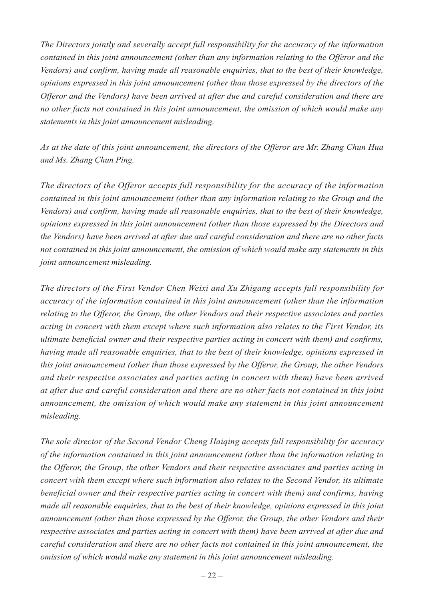*The Directors jointly and severally accept full responsibility for the accuracy of the information contained in this joint announcement (other than any information relating to the Offeror and the Vendors) and confirm, having made all reasonable enquiries, that to the best of their knowledge, opinions expressed in this joint announcement (other than those expressed by the directors of the Offeror and the Vendors) have been arrived at after due and careful consideration and there are no other facts not contained in this joint announcement, the omission of which would make any statements in this joint announcement misleading.*

*As at the date of this joint announcement, the directors of the Offeror are Mr. Zhang Chun Hua and Ms. Zhang Chun Ping.*

*The directors of the Offeror accepts full responsibility for the accuracy of the information contained in this joint announcement (other than any information relating to the Group and the Vendors) and confirm, having made all reasonable enquiries, that to the best of their knowledge, opinions expressed in this joint announcement (other than those expressed by the Directors and the Vendors) have been arrived at after due and careful consideration and there are no other facts not contained in this joint announcement, the omission of which would make any statements in this joint announcement misleading.*

*The directors of the First Vendor Chen Weixi and Xu Zhigang accepts full responsibility for accuracy of the information contained in this joint announcement (other than the information relating to the Offeror, the Group, the other Vendors and their respective associates and parties acting in concert with them except where such information also relates to the First Vendor, its ultimate beneficial owner and their respective parties acting in concert with them) and confirms, having made all reasonable enquiries, that to the best of their knowledge, opinions expressed in this joint announcement (other than those expressed by the Offeror, the Group, the other Vendors and their respective associates and parties acting in concert with them) have been arrived at after due and careful consideration and there are no other facts not contained in this joint announcement, the omission of which would make any statement in this joint announcement misleading.*

*The sole director of the Second Vendor Cheng Haiqing accepts full responsibility for accuracy of the information contained in this joint announcement (other than the information relating to the Offeror, the Group, the other Vendors and their respective associates and parties acting in concert with them except where such information also relates to the Second Vendor, its ultimate beneficial owner and their respective parties acting in concert with them) and confirms, having made all reasonable enquiries, that to the best of their knowledge, opinions expressed in this joint announcement (other than those expressed by the Offeror, the Group, the other Vendors and their respective associates and parties acting in concert with them) have been arrived at after due and careful consideration and there are no other facts not contained in this joint announcement, the omission of which would make any statement in this joint announcement misleading.*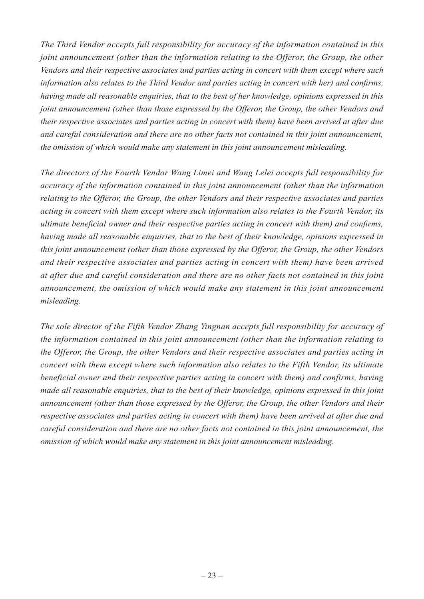*The Third Vendor accepts full responsibility for accuracy of the information contained in this joint announcement (other than the information relating to the Offeror, the Group, the other Vendors and their respective associates and parties acting in concert with them except where such information also relates to the Third Vendor and parties acting in concert with her) and confirms, having made all reasonable enquiries, that to the best of her knowledge, opinions expressed in this joint announcement (other than those expressed by the Offeror, the Group, the other Vendors and their respective associates and parties acting in concert with them) have been arrived at after due and careful consideration and there are no other facts not contained in this joint announcement, the omission of which would make any statement in this joint announcement misleading.*

*The directors of the Fourth Vendor Wang Limei and Wang Lelei accepts full responsibility for accuracy of the information contained in this joint announcement (other than the information relating to the Offeror, the Group, the other Vendors and their respective associates and parties acting in concert with them except where such information also relates to the Fourth Vendor, its ultimate beneficial owner and their respective parties acting in concert with them) and confirms, having made all reasonable enquiries, that to the best of their knowledge, opinions expressed in this joint announcement (other than those expressed by the Offeror, the Group, the other Vendors and their respective associates and parties acting in concert with them) have been arrived at after due and careful consideration and there are no other facts not contained in this joint announcement, the omission of which would make any statement in this joint announcement misleading.*

*The sole director of the Fifth Vendor Zhang Yingnan accepts full responsibility for accuracy of the information contained in this joint announcement (other than the information relating to the Offeror, the Group, the other Vendors and their respective associates and parties acting in concert with them except where such information also relates to the Fifth Vendor, its ultimate beneficial owner and their respective parties acting in concert with them) and confirms, having made all reasonable enquiries, that to the best of their knowledge, opinions expressed in this joint announcement (other than those expressed by the Offeror, the Group, the other Vendors and their respective associates and parties acting in concert with them) have been arrived at after due and careful consideration and there are no other facts not contained in this joint announcement, the omission of which would make any statement in this joint announcement misleading.*